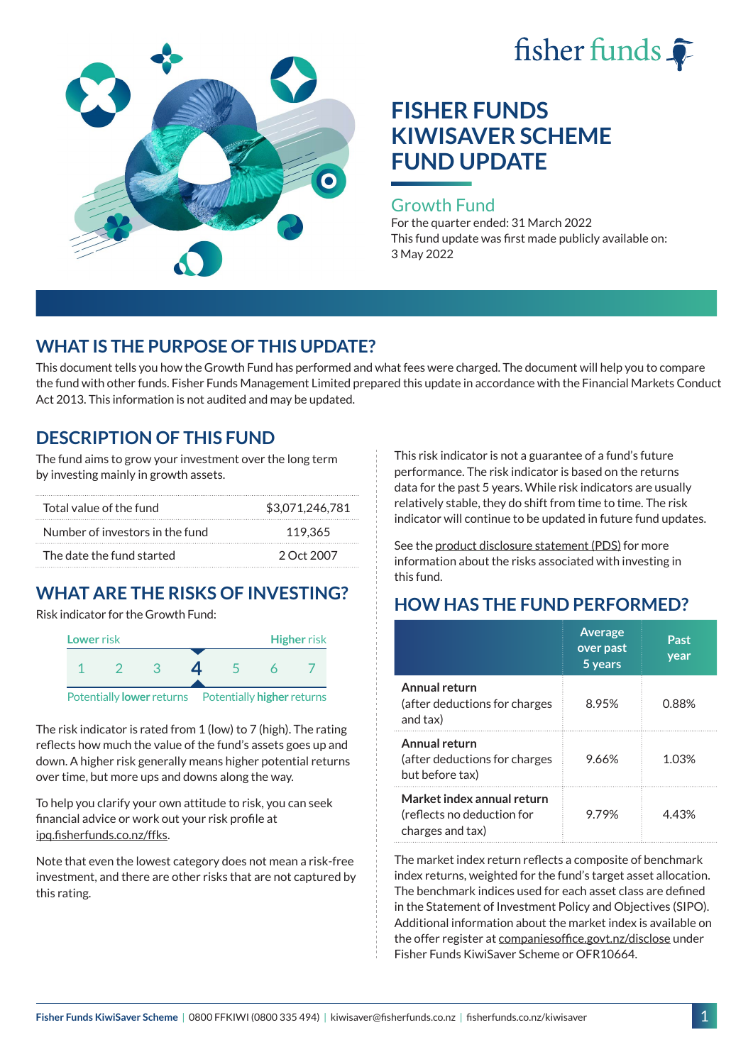



#### Growth Fund

For the quarter ended: 31 March 2022 This fund update was first made publicly available on: 3 May 2022

## **WHAT IS THE PURPOSE OF THIS UPDATE?**

This document tells you how the Growth Fund has performed and what fees were charged. The document will help you to compare the fund with other funds. Fisher Funds Management Limited prepared this update in accordance with the Financial Markets Conduct Act 2013. This information is not audited and may be updated.

### **DESCRIPTION OF THIS FUND**

The fund aims to grow your investment over the long term by investing mainly in growth assets.

| Total value of the fund         | \$3,071,246,781 |
|---------------------------------|-----------------|
| Number of investors in the fund | 119.365         |
| The date the fund started       | 2 Oct 2007      |

# **WHAT ARE THE RISKS OF INVESTING?**

Risk indicator for the Growth Fund:



The risk indicator is rated from 1 (low) to 7 (high). The rating reflects how much the value of the fund's assets goes up and down. A higher risk generally means higher potential returns over time, but more ups and downs along the way.

To help you clarify your own attitude to risk, you can seek financial advice or work out your risk profile at [ipq.fisherfunds.co.nz/ffks](https://ipq.fisherfunds.co.nz/ffks).

Note that even the lowest category does not mean a risk-free investment, and there are other risks that are not captured by this rating.

This risk indicator is not a guarantee of a fund's future performance. The risk indicator is based on the returns data for the past 5 years. While risk indicators are usually relatively stable, they do shift from time to time. The risk indicator will continue to be updated in future fund updates.

See the [product disclosure statement \(PDS\)](https://fisherfunds.co.nz/assets/PDS/Fisher-Funds-KiwiSaver-Scheme-PDS.pdf) for more information about the risks associated with investing in this fund.

## **HOW HAS THE FUND PERFORMED?**

|                                                                              | <b>Average</b><br>over past<br>5 years | Past<br>year |
|------------------------------------------------------------------------------|----------------------------------------|--------------|
| Annual return<br>(after deductions for charges<br>and tax)                   | 8.95%                                  | 0.88%        |
| Annual return<br>(after deductions for charges<br>but before tax)            | 9.66%                                  | 1.03%        |
| Market index annual return<br>(reflects no deduction for<br>charges and tax) | 9 79%                                  | 4 43%        |

The market index return reflects a composite of benchmark index returns, weighted for the fund's target asset allocation. The benchmark indices used for each asset class are defined in the Statement of Investment Policy and Objectives (SIPO). Additional information about the market index is available on the offer register at [companiesoffice.govt.nz/disclose](http://companiesoffice.govt.nz/disclose) under Fisher Funds KiwiSaver Scheme or OFR10664.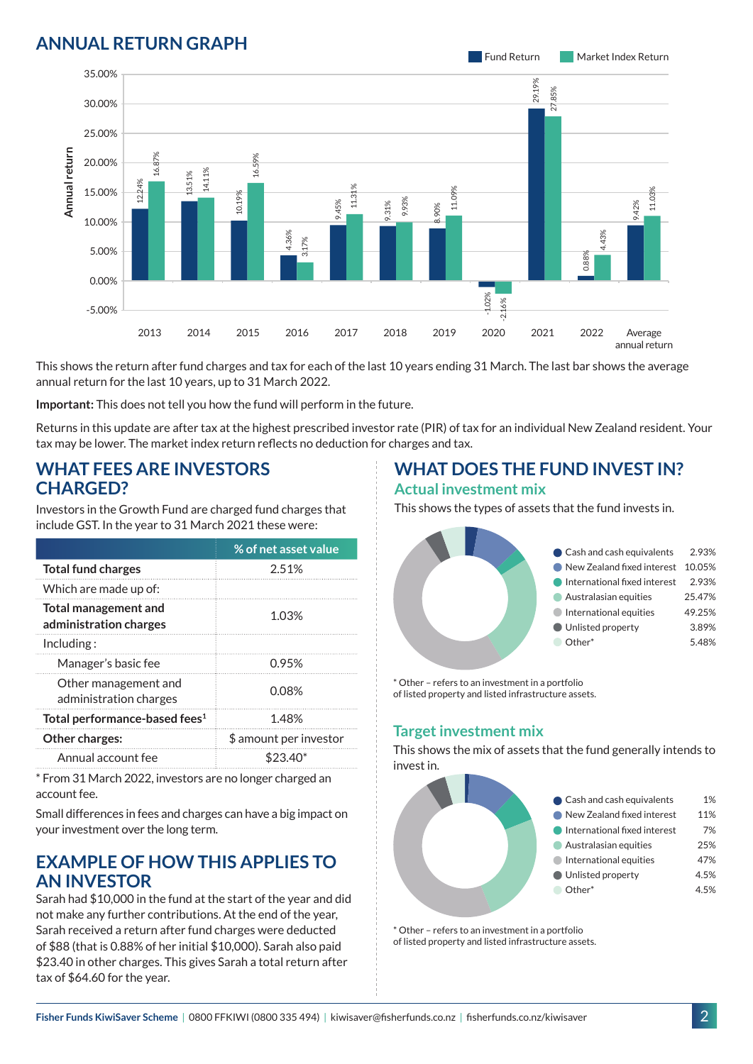## **ANNUAL RETURN GRAPH**



This shows the return after fund charges and tax for each of the last 10 years ending 31 March. The last bar shows the average annual return for the last 10 years, up to 31 March 2022.

**Important:** This does not tell you how the fund will perform in the future.

Returns in this update are after tax at the highest prescribed investor rate (PIR) of tax for an individual New Zealand resident. Your tax may be lower. The market index return reflects no deduction for charges and tax.

### **WHAT FEES ARE INVESTORS CHARGED?**

Investors in the Growth Fund are charged fund charges that include GST. In the year to 31 March 2021 these were:

|                                                | % of net asset value   |  |
|------------------------------------------------|------------------------|--|
| <b>Total fund charges</b>                      | 2.51%                  |  |
| Which are made up of:                          |                        |  |
| Total management and<br>administration charges | 1.03%                  |  |
| Inding:                                        |                        |  |
| Manager's basic fee                            | 0.95%                  |  |
| Other management and<br>administration charges | 0.08%                  |  |
| Total performance-based fees <sup>1</sup>      | 1.48%                  |  |
| <b>Other charges:</b>                          | \$ amount per investor |  |
| Annual account fee                             | \$23.40                |  |

\* From 31 March 2022, investors are no longer charged an account fee.

Small differences in fees and charges can have a big impact on your investment over the long term.

#### **EXAMPLE OF HOW THIS APPLIES TO AN INVESTOR**

Sarah had \$10,000 in the fund at the start of the year and did not make any further contributions. At the end of the year, Sarah received a return after fund charges were deducted of \$88 (that is 0.88% of her initial \$10,000). Sarah also paid \$23.40 in other charges. This gives Sarah a total return after tax of \$64.60 for the year.

#### **WHAT DOES THE FUND INVEST IN? Actual investment mix**

This shows the types of assets that the fund invests in.



\* Other – refers to an investment in a portfolio of listed property and listed infrastructure assets.

#### **Target investment mix**

This shows the mix of assets that the fund generally intends to invest in.



\* Other – refers to an investment in a portfolio of listed property and listed infrastructure assets.